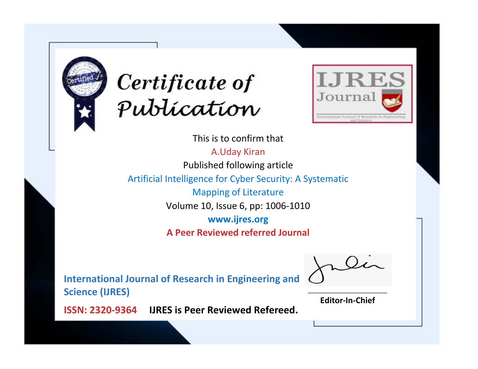



This is to confirm that A.Uday Kiran Published following article Artificial Intelligence for Cyber Security: A Systematic Mapping of Literature Volume 10, Issue 6, pp: 1006-1010 **www.ijres.org A Peer Reviewed referred Journal**

**International Journal of Research in Engineering and Science (IJRES)**

\_\_\_\_\_\_\_\_\_\_\_\_\_\_\_\_\_\_\_\_\_\_\_\_ **Editor-In-Chief**

**Journal.**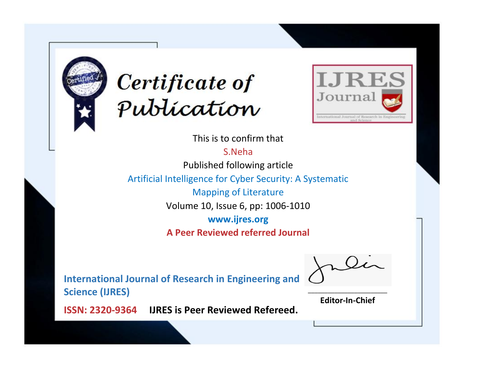



This is to confirm that

S.Neha

Published following article

Artificial Intelligence for Cyber Security: A Systematic

Mapping of Literature

Volume 10, Issue 6, pp: 1006-1010

**www.ijres.org**

**A Peer Reviewed referred Journal**

**International Journal of Research in Engineering and Science (IJRES)**

\_\_\_\_\_\_\_\_\_\_\_\_\_\_\_\_\_\_\_\_\_\_\_\_ **Editor-In-Chief**

**Journal.**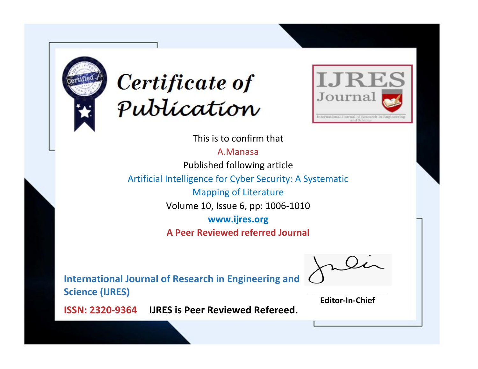



This is to confirm that

A.Manasa Published following article Artificial Intelligence for Cyber Security: A Systematic Mapping of Literature

Volume 10, Issue 6, pp: 1006-1010

**www.ijres.org**

**A Peer Reviewed referred Journal**

**International Journal of Research in Engineering and Science (IJRES)**

\_\_\_\_\_\_\_\_\_\_\_\_\_\_\_\_\_\_\_\_\_\_\_\_ **Editor-In-Chief**

**Journal.**